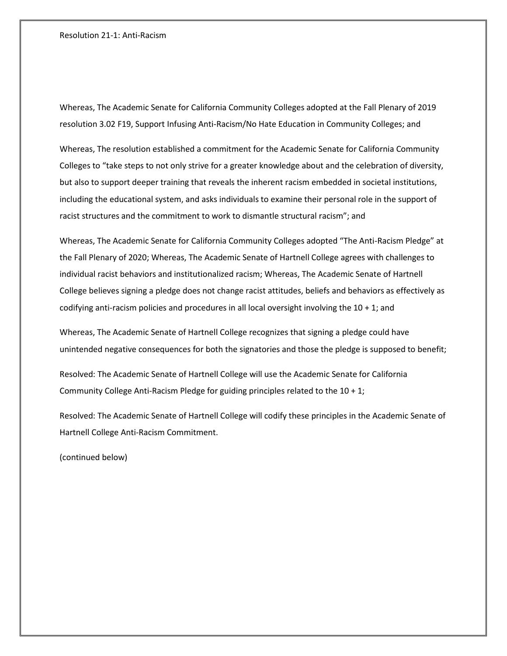## Resolution 21-1: Anti-Racism

Whereas, The Academic Senate for California Community Colleges adopted at the Fall Plenary of 2019 resolution 3.02 F19, Support Infusing Anti-Racism/No Hate Education in Community Colleges; and

Whereas, The resolution established a commitment for the Academic Senate for California Community Colleges to "take steps to not only strive for a greater knowledge about and the celebration of diversity, but also to support deeper training that reveals the inherent racism embedded in societal institutions, including the educational system, and asks individuals to examine their personal role in the support of racist structures and the commitment to work to dismantle structural racism"; and

Whereas, The Academic Senate for California Community Colleges adopted "The Anti-Racism Pledge" at the Fall Plenary of 2020; Whereas, The Academic Senate of Hartnell College agrees with challenges to individual racist behaviors and institutionalized racism; Whereas, The Academic Senate of Hartnell College believes signing a pledge does not change racist attitudes, beliefs and behaviors as effectively as codifying anti-racism policies and procedures in all local oversight involving the 10 + 1; and

Whereas, The Academic Senate of Hartnell College recognizes that signing a pledge could have unintended negative consequences for both the signatories and those the pledge is supposed to benefit;

Resolved: The Academic Senate of Hartnell College will use the Academic Senate for California Community College Anti-Racism Pledge for guiding principles related to the 10 + 1;

Resolved: The Academic Senate of Hartnell College will codify these principles in the Academic Senate of Hartnell College Anti-Racism Commitment.

(continued below)